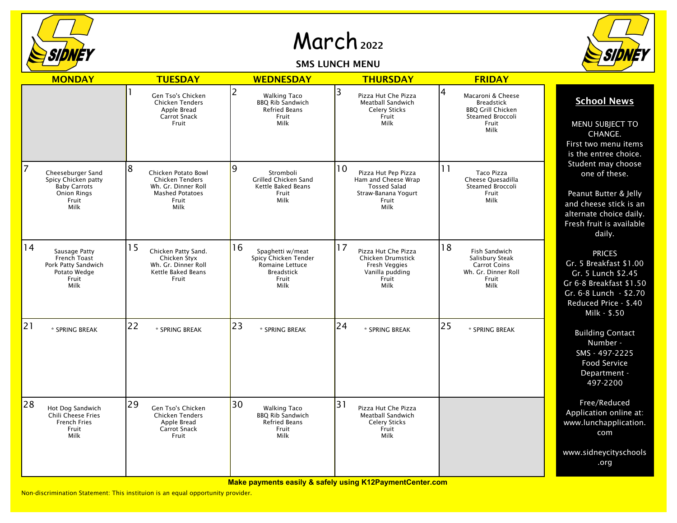

## March <sup>2022</sup>

SMS LUNCH MENU



| <b>MONDAY</b>                                                                                               | <b>TUESDAY</b>                                                                                                       | <b>WEDNESDAY</b>                                                                                        | <b>THURSDAY</b>                                                                                                 | <b>FRIDAY</b>                                                                                                       |                                                                                                                                                             |
|-------------------------------------------------------------------------------------------------------------|----------------------------------------------------------------------------------------------------------------------|---------------------------------------------------------------------------------------------------------|-----------------------------------------------------------------------------------------------------------------|---------------------------------------------------------------------------------------------------------------------|-------------------------------------------------------------------------------------------------------------------------------------------------------------|
|                                                                                                             | Gen Tso's Chicken<br><b>Chicken Tenders</b><br>Apple Bread<br>Carrot Snack<br>Fruit                                  | 2<br><b>Walking Taco</b><br><b>BBO Rib Sandwich</b><br><b>Refried Beans</b><br>Fruit<br>Milk            | 3<br>Pizza Hut Che Pizza<br>Meatball Sandwich<br><b>Celery Sticks</b><br>Fruit<br>Milk                          | 4<br>Macaroni & Cheese<br><b>Breadstick</b><br><b>BBQ Grill Chicken</b><br><b>Steamed Broccoli</b><br>Fruit<br>Milk | <b>School News</b><br>MENU SUBJECT TO<br>CHANGE.<br>First two menu items<br>is the entree choice.                                                           |
| 7<br>Cheeseburger Sand<br>Spicy Chicken patty<br><b>Baby Carrots</b><br><b>Onion Rings</b><br>Fruit<br>Milk | 8<br>Chicken Potato Bowl<br><b>Chicken Tenders</b><br>Wh. Gr. Dinner Roll<br><b>Mashed Potatoes</b><br>Fruit<br>Milk | Ι9<br>Stromboli<br>Grilled Chicken Sand<br>Kettle Baked Beans<br>Fruit<br>Milk                          | 10<br>Pizza Hut Pep Pizza<br>Ham and Cheese Wrap<br><b>Tossed Salad</b><br>Straw-Banana Yogurt<br>Fruit<br>Milk | 11<br><b>Taco Pizza</b><br>Cheese Quesadilla<br>Steamed Broccoli<br>Fruit<br>Milk                                   | Student may choose<br>one of these.<br>Peanut Butter & Jelly<br>and cheese stick is an<br>alternate choice daily.<br>Fresh fruit is available<br>daily.     |
| 14<br>Sausage Patty<br>French Toast<br>Pork Patty Sandwich<br>Potato Wedge<br>Fruit<br>Milk                 | 15<br>Chicken Patty Sand.<br>Chicken Styx<br>Wh. Gr. Dinner Roll<br>Kettle Baked Beans<br>Fruit                      | 16<br>Spaghetti w/meat<br>Spicy Chicken Tender<br>Romaine Lettuce<br><b>Breadstick</b><br>Fruit<br>Milk | 17<br>Pizza Hut Che Pizza<br>Chicken Drumstick<br><b>Fresh Veggies</b><br>Vanilla pudding<br>Fruit<br>Milk      | 18<br><b>Fish Sandwich</b><br>Salisbury Steak<br><b>Carrot Coins</b><br>Wh. Gr. Dinner Roll<br>Fruit<br>Milk        | <b>PRICES</b><br>Gr. 5 Breakfast \$1.00<br>Gr. 5 Lunch \$2.45<br>Gr 6-8 Breakfast \$1.50<br>Gr. 6-8 Lunch - \$2.70<br>Reduced Price - \$.40<br>Milk - \$.50 |
| 21<br>* SPRING BREAK                                                                                        | 22<br>* SPRING BREAK                                                                                                 | 23<br>* SPRING BREAK                                                                                    | 24<br>* SPRING BREAK                                                                                            | 25<br>* SPRING BREAK                                                                                                | <b>Building Contact</b><br>Number -<br>SMS - 497-2225<br>Food Service<br>Department -<br>497-2200                                                           |
| 28<br>Hot Dog Sandwich<br>Chili Cheese Fries<br><b>French Fries</b><br>Fruit<br>Milk                        | 29<br>Gen Tso's Chicken<br>Chicken Tenders<br>Apple Bread<br><b>Carrot Snack</b><br>Fruit                            | 30<br><b>Walking Taco</b><br><b>BBO Rib Sandwich</b><br><b>Refried Beans</b><br>Fruit<br>Milk           | 31<br>Pizza Hut Che Pizza<br>Meatball Sandwich<br><b>Celery Sticks</b><br>Fruit<br>Milk                         |                                                                                                                     | Free/Reduced<br>Application online at:<br>www.lunchapplication.<br>com                                                                                      |
|                                                                                                             |                                                                                                                      |                                                                                                         |                                                                                                                 |                                                                                                                     | www.sidneycityschools<br>.org                                                                                                                               |

**Make payments easily & safely using K12PaymentCenter.com**

Non-discrimination Statement: This instituion is an equal opportunity provider.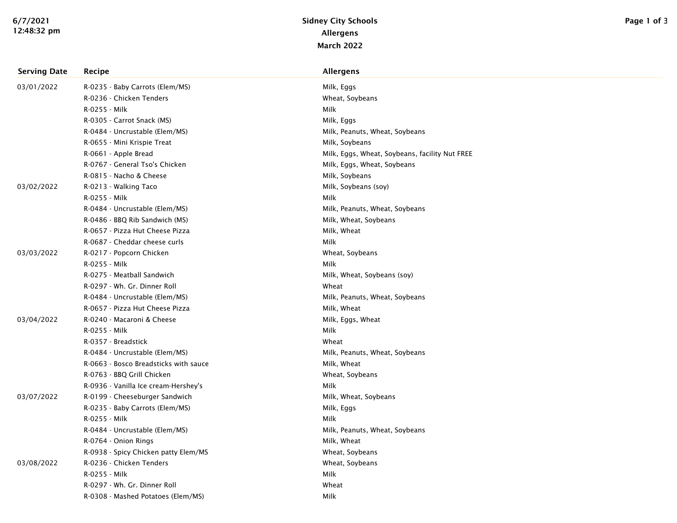| <b>Serving Date</b> | <b>Recipe</b>                         | <b>Allergens</b>                               |
|---------------------|---------------------------------------|------------------------------------------------|
| 03/01/2022          | R-0235 - Baby Carrots (Elem/MS)       | Milk, Eggs                                     |
|                     | R-0236 - Chicken Tenders              | Wheat, Soybeans                                |
|                     | R-0255 - Milk                         | Milk                                           |
|                     | R-0305 - Carrot Snack (MS)            | Milk, Eggs                                     |
|                     | R-0484 - Uncrustable (Elem/MS)        | Milk, Peanuts, Wheat, Soybeans                 |
|                     | R-0655 - Mini Krispie Treat           | Milk, Soybeans                                 |
|                     | R-0661 - Apple Bread                  | Milk, Eggs, Wheat, Soybeans, facility Nut FREE |
|                     | R-0767 - General Tso's Chicken        | Milk, Eggs, Wheat, Soybeans                    |
|                     | R-0815 - Nacho & Cheese               | Milk, Soybeans                                 |
| 03/02/2022          | R-0213 - Walking Taco                 | Milk, Soybeans (soy)                           |
|                     | R-0255 - Milk                         | Milk                                           |
|                     | R-0484 - Uncrustable (Elem/MS)        | Milk, Peanuts, Wheat, Soybeans                 |
|                     | R-0486 - BBQ Rib Sandwich (MS)        | Milk, Wheat, Soybeans                          |
|                     | R-0657 - Pizza Hut Cheese Pizza       | Milk, Wheat                                    |
|                     | R-0687 - Cheddar cheese curls         | Milk                                           |
| 03/03/2022          | R-0217 - Popcorn Chicken              | Wheat, Soybeans                                |
|                     | R-0255 - Milk                         | Milk                                           |
|                     | R-0275 - Meatball Sandwich            | Milk, Wheat, Soybeans (soy)                    |
|                     | R-0297 - Wh. Gr. Dinner Roll          | Wheat                                          |
|                     | R-0484 - Uncrustable (Elem/MS)        | Milk, Peanuts, Wheat, Soybeans                 |
|                     | R-0657 - Pizza Hut Cheese Pizza       | Milk, Wheat                                    |
| 03/04/2022          | R-0240 - Macaroni & Cheese            | Milk, Eggs, Wheat                              |
|                     | R-0255 - Milk                         | Milk                                           |
|                     | R-0357 - Breadstick                   | Wheat                                          |
|                     | R-0484 - Uncrustable (Elem/MS)        | Milk, Peanuts, Wheat, Soybeans                 |
|                     | R-0663 - Bosco Breadsticks with sauce | Milk, Wheat                                    |
|                     | R-0763 - BBQ Grill Chicken            | Wheat, Soybeans                                |
|                     | R-0936 - Vanilla Ice cream-Hershey's  | Milk                                           |
| 03/07/2022          | R-0199 - Cheeseburger Sandwich        | Milk, Wheat, Soybeans                          |
|                     | R-0235 - Baby Carrots (Elem/MS)       | Milk, Eggs                                     |
|                     | R-0255 - Milk                         | Milk                                           |
|                     | R-0484 - Uncrustable (Elem/MS)        | Milk, Peanuts, Wheat, Soybeans                 |
|                     | R-0764 - Onion Rings                  | Milk, Wheat                                    |
|                     | R-0938 - Spicy Chicken patty Elem/MS  | Wheat, Soybeans                                |
| 03/08/2022          | R-0236 - Chicken Tenders              | Wheat, Soybeans                                |
|                     | R-0255 - Milk                         | Milk                                           |
|                     | R-0297 - Wh. Gr. Dinner Roll          | Wheat                                          |
|                     | R-0308 - Mashed Potatoes (Elem/MS)    | Milk                                           |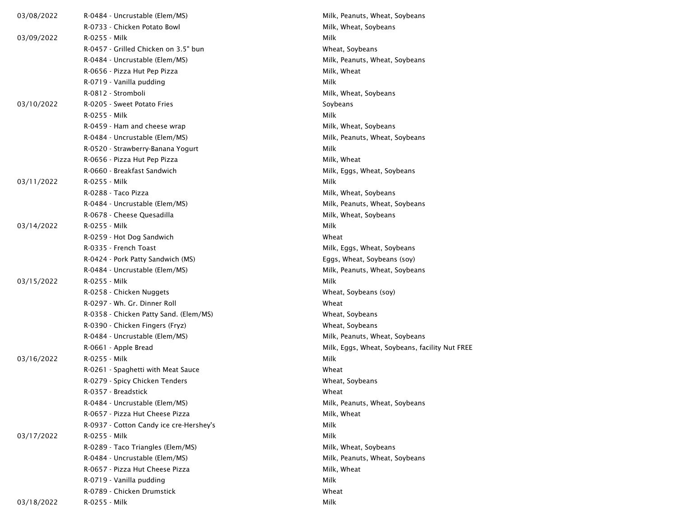| 03/08/2022 | R-0484 - Uncrustable (Elem/MS)          | Milk, Peanuts, Wheat, Soybeans                 |  |
|------------|-----------------------------------------|------------------------------------------------|--|
|            | R-0733 - Chicken Potato Bowl            | Milk, Wheat, Soybeans                          |  |
| 03/09/2022 | R-0255 - Milk                           | Milk                                           |  |
|            | R-0457 - Grilled Chicken on 3.5" bun    | Wheat, Soybeans                                |  |
|            | R-0484 - Uncrustable (Elem/MS)          | Milk, Peanuts, Wheat, Soybeans                 |  |
|            | R-0656 - Pizza Hut Pep Pizza            | Milk, Wheat                                    |  |
|            | R-0719 - Vanilla pudding                | Milk                                           |  |
|            | R-0812 - Stromboli                      | Milk, Wheat, Soybeans                          |  |
| 03/10/2022 | R-0205 - Sweet Potato Fries             | Soybeans                                       |  |
|            | R-0255 - Milk                           | Milk                                           |  |
|            | R-0459 - Ham and cheese wrap            | Milk, Wheat, Soybeans                          |  |
|            | R-0484 - Uncrustable (Elem/MS)          | Milk, Peanuts, Wheat, Soybeans                 |  |
|            | R-0520 - Strawberry-Banana Yogurt       | Milk                                           |  |
|            | R-0656 - Pizza Hut Pep Pizza            | Milk, Wheat                                    |  |
|            | R-0660 - Breakfast Sandwich             | Milk, Eggs, Wheat, Soybeans                    |  |
| 03/11/2022 | R-0255 - Milk                           | Milk                                           |  |
|            | R-0288 - Taco Pizza                     | Milk, Wheat, Soybeans                          |  |
|            | R-0484 - Uncrustable (Elem/MS)          | Milk, Peanuts, Wheat, Soybeans                 |  |
|            | R-0678 - Cheese Quesadilla              | Milk, Wheat, Soybeans                          |  |
| 03/14/2022 | R-0255 - Milk                           | Milk                                           |  |
|            | R-0259 - Hot Dog Sandwich               | Wheat                                          |  |
|            | R-0335 - French Toast                   | Milk, Eggs, Wheat, Soybeans                    |  |
|            | R-0424 - Pork Patty Sandwich (MS)       | Eggs, Wheat, Soybeans (soy)                    |  |
|            | R-0484 - Uncrustable (Elem/MS)          | Milk, Peanuts, Wheat, Soybeans                 |  |
| 03/15/2022 | R-0255 - Milk                           | Milk                                           |  |
|            | R-0258 - Chicken Nuggets                | Wheat, Soybeans (soy)                          |  |
|            | R-0297 - Wh. Gr. Dinner Roll            | Wheat                                          |  |
|            | R-0358 - Chicken Patty Sand. (Elem/MS)  | Wheat, Soybeans                                |  |
|            | R-0390 - Chicken Fingers (Fryz)         | Wheat, Soybeans                                |  |
|            | R-0484 - Uncrustable (Elem/MS)          | Milk, Peanuts, Wheat, Soybeans                 |  |
|            | R-0661 - Apple Bread                    | Milk, Eggs, Wheat, Soybeans, facility Nut FREE |  |
| 03/16/2022 | R-0255 - Milk                           | Milk                                           |  |
|            | R-0261 - Spaghetti with Meat Sauce      | Wheat                                          |  |
|            | R-0279 - Spicy Chicken Tenders          | Wheat, Soybeans                                |  |
|            | R-0357 - Breadstick                     | Wheat                                          |  |
|            | R-0484 - Uncrustable (Elem/MS)          | Milk, Peanuts, Wheat, Soybeans                 |  |
|            | R-0657 - Pizza Hut Cheese Pizza         | Milk, Wheat                                    |  |
|            | R-0937 - Cotton Candy ice cre-Hershey's | Milk                                           |  |
| 03/17/2022 | R-0255 - Milk                           | Milk                                           |  |
|            | R-0289 - Taco Triangles (Elem/MS)       | Milk, Wheat, Soybeans                          |  |
|            | R-0484 - Uncrustable (Elem/MS)          | Milk, Peanuts, Wheat, Soybeans                 |  |
|            | R-0657 - Pizza Hut Cheese Pizza         | Milk, Wheat                                    |  |
|            | R-0719 - Vanilla pudding                | Milk                                           |  |
|            | R-0789 - Chicken Drumstick              | Wheat                                          |  |
| 03/18/2022 | R-0255 - Milk                           | Milk                                           |  |